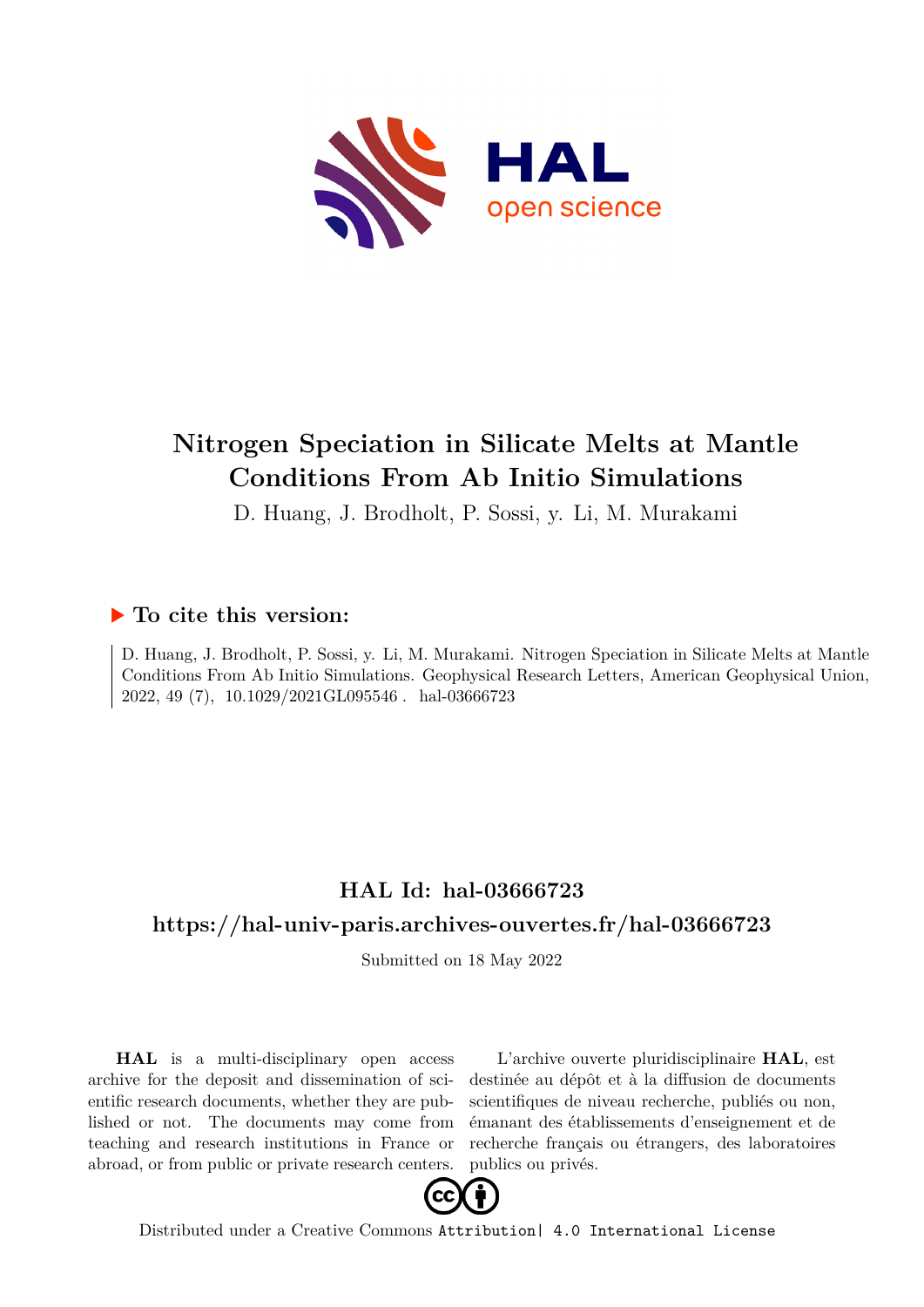

# **Nitrogen Speciation in Silicate Melts at Mantle Conditions From Ab Initio Simulations**

D. Huang, J. Brodholt, P. Sossi, y. Li, M. Murakami

## **To cite this version:**

D. Huang, J. Brodholt, P. Sossi, y. Li, M. Murakami. Nitrogen Speciation in Silicate Melts at Mantle Conditions From Ab Initio Simulations. Geophysical Research Letters, American Geophysical Union, 2022, 49 (7), 10.1029/2021GL095546. hal-03666723

# **HAL Id: hal-03666723 <https://hal-univ-paris.archives-ouvertes.fr/hal-03666723>**

Submitted on 18 May 2022

**HAL** is a multi-disciplinary open access archive for the deposit and dissemination of scientific research documents, whether they are published or not. The documents may come from teaching and research institutions in France or abroad, or from public or private research centers.

L'archive ouverte pluridisciplinaire **HAL**, est destinée au dépôt et à la diffusion de documents scientifiques de niveau recherche, publiés ou non, émanant des établissements d'enseignement et de recherche français ou étrangers, des laboratoires publics ou privés.



Distributed under a Creative Commons [Attribution| 4.0 International License](http://creativecommons.org/licenses/by/4.0/)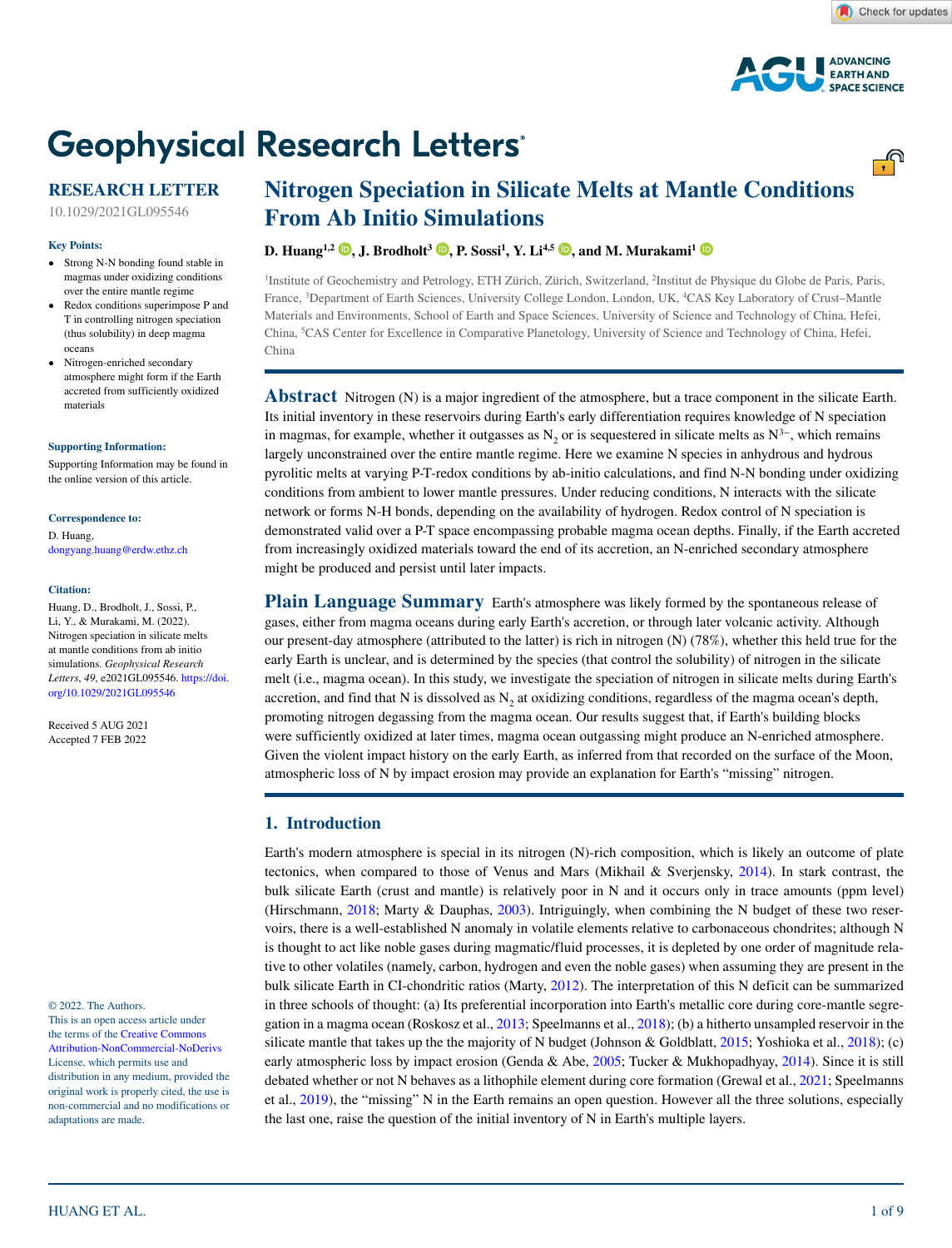<u>್.</u>ಗಿ



# **Geophysical Research Letters®**

## **RESEARCH LETTER**

10.1029/2021GL095546

#### **Key Points:**

- Strong N-N bonding found stable in magmas under oxidizing conditions over the entire mantle regime
- Redox conditions superimpose P and T in controlling nitrogen speciation (thus solubility) in deep magma oceans
- Nitrogen-enriched secondary atmosphere might form if the Earth accreted from sufficiently oxidized materials

**[Supporting Information:](https://doi.org/10.1029/2021GL095546)**

[Supporting Information may be found in](https://doi.org/10.1029/2021GL095546)  [the online version of this article.](https://doi.org/10.1029/2021GL095546)

#### **Correspondence to:**

D. Huang, dongyang.huang@erdw.ethz.ch

#### **Citation:**

Huang, D., Brodholt, J., Sossi, P., Li, Y., & Murakami, M. (2022). Nitrogen speciation in silicate melts at mantle conditions from ab initio simulations. *Geophysical Research Letters*, *49*, e2021GL095546. [https://doi.](https://doi.org/10.1029/2021GL095546) [org/10.1029/2021GL095546](https://doi.org/10.1029/2021GL095546)

Received 5 AUG 2021 Accepted 7 FEB 2022

© 2022. The Authors.

This is an open access article under the terms of the [Creative Commons](http://creativecommons.org/licenses/by-nc-nd/4.0/)  [Attribution-NonCommercial-NoDerivs](http://creativecommons.org/licenses/by-nc-nd/4.0/) License, which permits use and distribution in any medium, provided the original work is properly cited, the use is non-commercial and no modifications or adaptations are made.

## **Nitrogen Speciation in Silicate Melts at Mantle Conditions From Ab Initio Simulations**

### **D. Huang1,2 [,](https://orcid.org/0000-0002-9498-851X) J. Brodholt3 [,](https://orcid.org/0000-0001-7395-5834) P. Sossi1 , Y. Li4,5 [,](https://orcid.org/0000-0002-6221-7585) and M. Murakami<sup>1</sup>**

1 Institute of Geochemistry and Petrology, ETH Zürich, Zürich, Switzerland, 2 Institut de Physique du Globe de Paris, Paris, France, 3 Department of Earth Sciences, University College London, London, UK, 4 CAS Key Laboratory of Crust–Mantle Materials and Environments, School of Earth and Space Sciences, University of Science and Technology of China, Hefei, China, <sup>3</sup>CAS Center for Excellence in Comparative Planetology, University of Science and Technology of China, Hefei, China

**Abstract** Nitrogen (N) is a major ingredient of the atmosphere, but a trace component in the silicate Earth. Its initial inventory in these reservoirs during Earth's early differentiation requires knowledge of N speciation in magmas, for example, whether it outgasses as  $N_2$  or is sequestered in silicate melts as  $N^3$ −, which remains largely unconstrained over the entire mantle regime. Here we examine N species in anhydrous and hydrous pyrolitic melts at varying P-T-redox conditions by ab-initio calculations, and find N-N bonding under oxidizing conditions from ambient to lower mantle pressures. Under reducing conditions, N interacts with the silicate network or forms N-H bonds, depending on the availability of hydrogen. Redox control of N speciation is demonstrated valid over a P-T space encompassing probable magma ocean depths. Finally, if the Earth accreted from increasingly oxidized materials toward the end of its accretion, an N-enriched secondary atmosphere might be produced and persist until later impacts.

**Plain Language Summary** Earth's atmosphere was likely formed by the spontaneous release of gases, either from magma oceans during early Earth's accretion, or through later volcanic activity. Although our present-day atmosphere (attributed to the latter) is rich in nitrogen (N) (78%), whether this held true for the early Earth is unclear, and is determined by the species (that control the solubility) of nitrogen in the silicate melt (i.e., magma ocean). In this study, we investigate the speciation of nitrogen in silicate melts during Earth's accretion, and find that N is dissolved as N<sub>2</sub> at oxidizing conditions, regardless of the magma ocean's depth, promoting nitrogen degassing from the magma ocean. Our results suggest that, if Earth's building blocks were sufficiently oxidized at later times, magma ocean outgassing might produce an N-enriched atmosphere. Given the violent impact history on the early Earth, as inferred from that recorded on the surface of the Moon, atmospheric loss of N by impact erosion may provide an explanation for Earth's "missing" nitrogen.

#### **1. Introduction**

Earth's modern atmosphere is special in its nitrogen (N)-rich composition, which is likely an outcome of plate tectonics, when compared to those of Venus and Mars (Mikhail & Sverjensky, 2014). In stark contrast, the bulk silicate Earth (crust and mantle) is relatively poor in N and it occurs only in trace amounts (ppm level) (Hirschmann, 2018; Marty & Dauphas, 2003). Intriguingly, when combining the N budget of these two reservoirs, there is a well-established N anomaly in volatile elements relative to carbonaceous chondrites; although N is thought to act like noble gases during magmatic/fluid processes, it is depleted by one order of magnitude relative to other volatiles (namely, carbon, hydrogen and even the noble gases) when assuming they are present in the bulk silicate Earth in CI-chondritic ratios (Marty, 2012). The interpretation of this N deficit can be summarized in three schools of thought: (a) Its preferential incorporation into Earth's metallic core during core-mantle segregation in a magma ocean (Roskosz et al., 2013; Speelmanns et al., 2018); (b) a hitherto unsampled reservoir in the silicate mantle that takes up the the majority of N budget (Johnson & Goldblatt, 2015; Yoshioka et al., 2018); (c) early atmospheric loss by impact erosion (Genda & Abe, 2005; Tucker & Mukhopadhyay, 2014). Since it is still debated whether or not N behaves as a lithophile element during core formation (Grewal et al., 2021; Speelmanns et al., 2019), the "missing" N in the Earth remains an open question. However all the three solutions, especially the last one, raise the question of the initial inventory of N in Earth's multiple layers.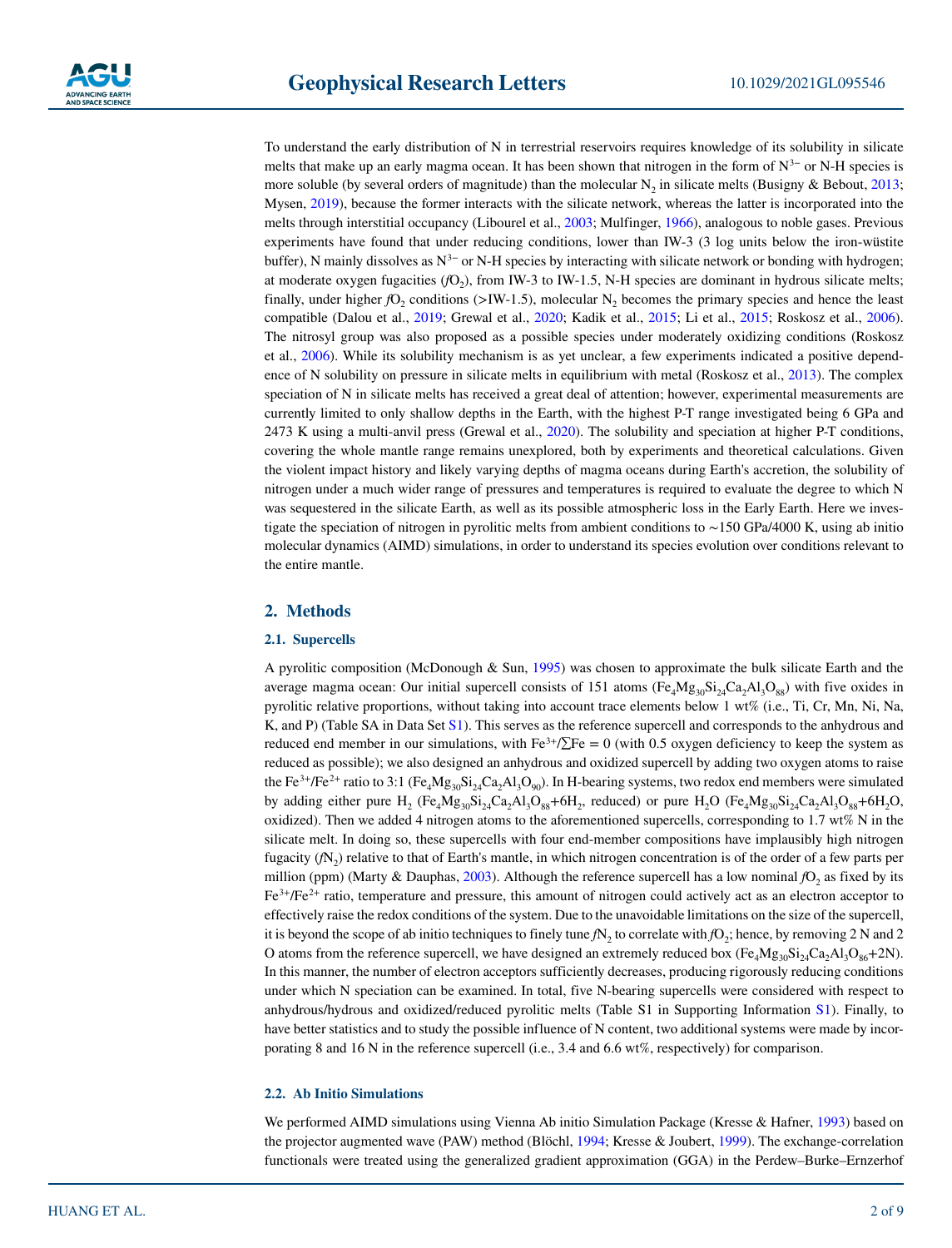To understand the early distribution of N in terrestrial reservoirs requires knowledge of its solubility in silicate melts that make up an early magma ocean. It has been shown that nitrogen in the form of N<sup>3−</sup> or N-H species is more soluble (by several orders of magnitude) than the molecular  $N_2$  in silicate melts (Busigny & Bebout, 2013; Mysen, 2019), because the former interacts with the silicate network, whereas the latter is incorporated into the melts through interstitial occupancy (Libourel et al., 2003; Mulfinger, 1966), analogous to noble gases. Previous experiments have found that under reducing conditions, lower than IW-3 (3 log units below the iron-wüstite buffer), N mainly dissolves as N<sup>3−</sup> or N-H species by interacting with silicate network or bonding with hydrogen; at moderate oxygen fugacities  $(fO<sub>2</sub>)$ , from IW-3 to IW-1.5, N-H species are dominant in hydrous silicate melts; finally, under higher  $fO_2$  conditions (>IW-1.5), molecular N<sub>2</sub> becomes the primary species and hence the least compatible (Dalou et al., 2019; Grewal et al., 2020; Kadik et al., 2015; Li et al., 2015; Roskosz et al., 2006). The nitrosyl group was also proposed as a possible species under moderately oxidizing conditions (Roskosz et al., 2006). While its solubility mechanism is as yet unclear, a few experiments indicated a positive dependence of N solubility on pressure in silicate melts in equilibrium with metal (Roskosz et al., 2013). The complex speciation of N in silicate melts has received a great deal of attention; however, experimental measurements are currently limited to only shallow depths in the Earth, with the highest P-T range investigated being 6 GPa and 2473 K using a multi-anvil press (Grewal et al., 2020). The solubility and speciation at higher P-T conditions, covering the whole mantle range remains unexplored, both by experiments and theoretical calculations. Given the violent impact history and likely varying depths of magma oceans during Earth's accretion, the solubility of nitrogen under a much wider range of pressures and temperatures is required to evaluate the degree to which N was sequestered in the silicate Earth, as well as its possible atmospheric loss in the Early Earth. Here we investigate the speciation of nitrogen in pyrolitic melts from ambient conditions to ∼150 GPa/4000 K, using ab initio molecular dynamics (AIMD) simulations, in order to understand its species evolution over conditions relevant to the entire mantle.

#### **2. Methods**

#### **2.1. Supercells**

A pyrolitic composition (McDonough & Sun, 1995) was chosen to approximate the bulk silicate Earth and the average magma ocean: Our initial supercell consists of 151 atoms  $(Fe<sub>4</sub>Mg<sub>30</sub>Si<sub>24</sub>Ca<sub>2</sub>Al<sub>3</sub>O<sub>88</sub>)$  with five oxides in pyrolitic relative proportions, without taking into account trace elements below 1 wt% (i.e., Ti, Cr, Mn, Ni, Na, K, and P) (Table SA in Data Set S1). This serves as the reference supercell and corresponds to the anhydrous and reduced end member in our simulations, with Fe<sup>3+</sup>/ $\Sigma$ Fe = 0 (with 0.5 oxygen deficiency to keep the system as reduced as possible); we also designed an anhydrous and oxidized supercell by adding two oxygen atoms to raise the Fe<sup>3+</sup>/Fe<sup>2+</sup> ratio to 3:1 (Fe<sub>4</sub>Mg<sub>30</sub>Si<sub>24</sub>Ca<sub>2</sub>Al<sub>3</sub>O<sub>90</sub>). In H-bearing systems, two redox end members were simulated by adding either pure H<sub>2</sub> (Fe<sub>4</sub>Mg<sub>30</sub>Si<sub>24</sub>Ca<sub>2</sub>Al<sub>3</sub>O<sub>88</sub>+6H<sub>2</sub>, reduced) or pure H<sub>2</sub>O (Fe<sub>4</sub>Mg<sub>30</sub>Si<sub>24</sub>Ca<sub>2</sub>Al<sub>3</sub>O<sub>88</sub>+6H<sub>2</sub>O, oxidized). Then we added 4 nitrogen atoms to the aforementioned supercells, corresponding to 1.7 wt% N in the silicate melt. In doing so, these supercells with four end-member compositions have implausibly high nitrogen fugacity  $(fN<sub>2</sub>)$  relative to that of Earth's mantle, in which nitrogen concentration is of the order of a few parts per million (ppm) (Marty & Dauphas,  $2003$ ). Although the reference supercell has a low nominal  $fO<sub>2</sub>$  as fixed by its Fe<sup>3+</sup>/Fe<sup>2+</sup> ratio, temperature and pressure, this amount of nitrogen could actively act as an electron acceptor to effectively raise the redox conditions of the system. Due to the unavoidable limitations on the size of the supercell, it is beyond the scope of ab initio techniques to finely tune  $fN<sub>2</sub>$  to correlate with  $fO<sub>2</sub>$ ; hence, by removing 2 N and 2 O atoms from the reference supercell, we have designed an extremely reduced box (Fe<sub>4</sub>Mg<sub>30</sub>Si<sub>24</sub>Ca<sub>2</sub>Al<sub>3</sub>O<sub>86</sub>+2N). In this manner, the number of electron acceptors sufficiently decreases, producing rigorously reducing conditions under which N speciation can be examined. In total, five N-bearing supercells were considered with respect to anhydrous/hydrous and oxidized/reduced pyrolitic melts (Table S1 in Supporting Information S1). Finally, to have better statistics and to study the possible influence of N content, two additional systems were made by incorporating 8 and 16 N in the reference supercell (i.e., 3.4 and 6.6 wt%, respectively) for comparison.

#### **2.2. Ab Initio Simulations**

We performed AIMD simulations using Vienna Ab initio Simulation Package (Kresse & Hafner, 1993) based on the projector augmented wave (PAW) method (Blöchl, 1994; Kresse & Joubert, 1999). The exchange-correlation functionals were treated using the generalized gradient approximation (GGA) in the Perdew–Burke–Ernzerhof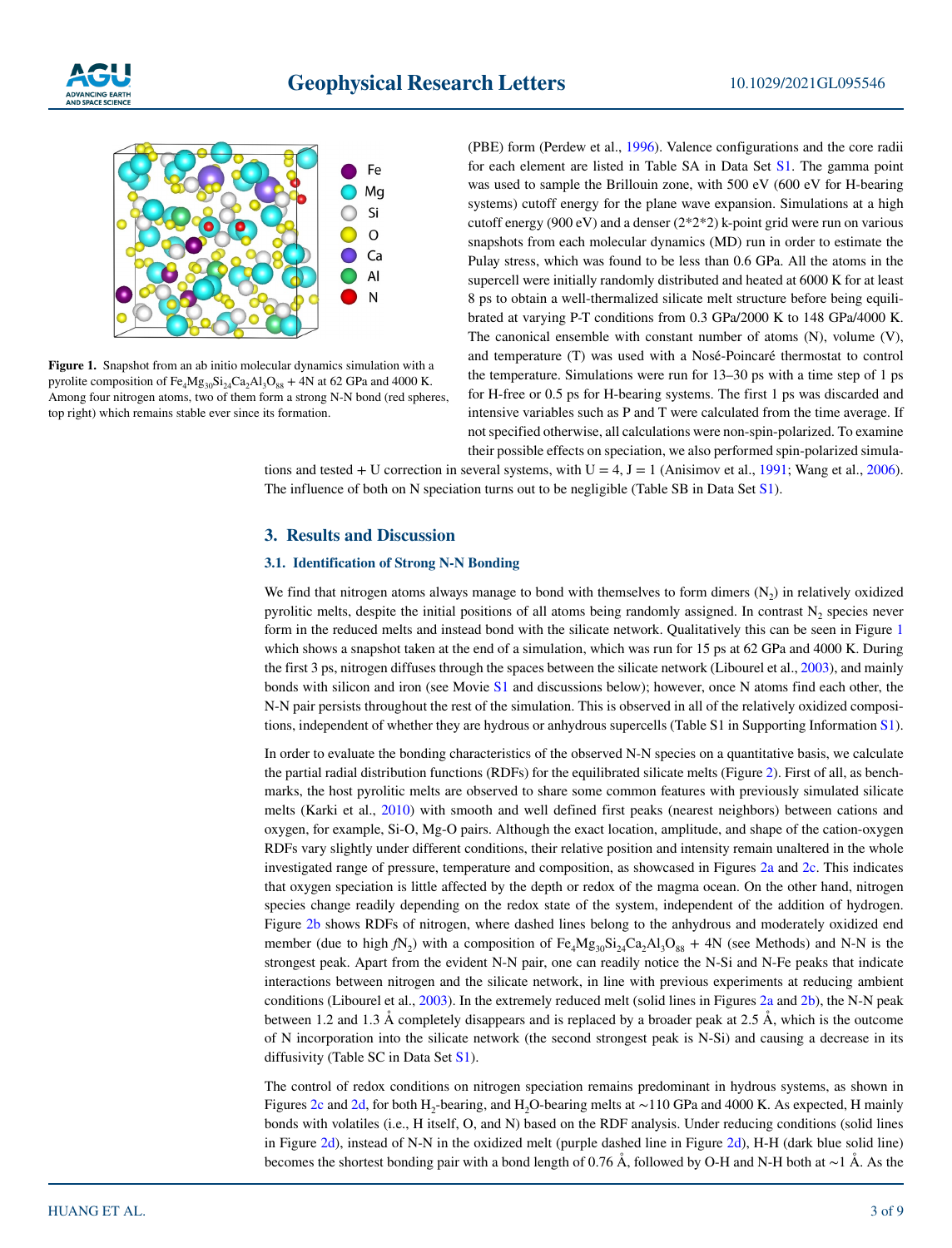



**Figure 1.** Snapshot from an ab initio molecular dynamics simulation with a pyrolite composition of  $Fe_4Mg_{30}Si_{24}Ca_2Al_3O_{88} + 4N$  at 62 GPa and 4000 K. Among four nitrogen atoms, two of them form a strong N-N bond (red spheres, top right) which remains stable ever since its formation.

(PBE) form (Perdew et al., 1996). Valence configurations and the core radii for each element are listed in Table SA in Data Set S1. The gamma point was used to sample the Brillouin zone, with 500 eV (600 eV for H-bearing systems) cutoff energy for the plane wave expansion. Simulations at a high cutoff energy (900 eV) and a denser (2\*2\*2) k-point grid were run on various snapshots from each molecular dynamics (MD) run in order to estimate the Pulay stress, which was found to be less than 0.6 GPa. All the atoms in the supercell were initially randomly distributed and heated at 6000 K for at least 8 ps to obtain a well-thermalized silicate melt structure before being equilibrated at varying P-T conditions from 0.3 GPa/2000 K to 148 GPa/4000 K. The canonical ensemble with constant number of atoms (N), volume (V), and temperature (T) was used with a Nosé-Poincaré thermostat to control the temperature. Simulations were run for 13–30 ps with a time step of 1 ps for H-free or 0.5 ps for H-bearing systems. The first 1 ps was discarded and intensive variables such as P and T were calculated from the time average. If not specified otherwise, all calculations were non-spin-polarized. To examine their possible effects on speciation, we also performed spin-polarized simula-

tions and tested + U correction in several systems, with  $U = 4$ ,  $J = 1$  (Anisimov et al., 1991; Wang et al., 2006). The influence of both on N speciation turns out to be negligible (Table SB in Data Set S1).

#### **3. Results and Discussion**

#### **3.1. Identification of Strong N-N Bonding**

We find that nitrogen atoms always manage to bond with themselves to form dimers  $(N_2)$  in relatively oxidized pyrolitic melts, despite the initial positions of all atoms being randomly assigned. In contrast  $N_2$  species never form in the reduced melts and instead bond with the silicate network. Qualitatively this can be seen in Figure 1 which shows a snapshot taken at the end of a simulation, which was run for 15 ps at 62 GPa and 4000 K. During the first 3 ps, nitrogen diffuses through the spaces between the silicate network (Libourel et al., 2003), and mainly bonds with silicon and iron (see Movie S1 and discussions below); however, once N atoms find each other, the N-N pair persists throughout the rest of the simulation. This is observed in all of the relatively oxidized compositions, independent of whether they are hydrous or anhydrous supercells (Table S1 in Supporting Information S1).

In order to evaluate the bonding characteristics of the observed N-N species on a quantitative basis, we calculate the partial radial distribution functions (RDFs) for the equilibrated silicate melts (Figure 2). First of all, as benchmarks, the host pyrolitic melts are observed to share some common features with previously simulated silicate melts (Karki et al., 2010) with smooth and well defined first peaks (nearest neighbors) between cations and oxygen, for example, Si-O, Mg-O pairs. Although the exact location, amplitude, and shape of the cation-oxygen RDFs vary slightly under different conditions, their relative position and intensity remain unaltered in the whole investigated range of pressure, temperature and composition, as showcased in Figures 2a and 2c. This indicates that oxygen speciation is little affected by the depth or redox of the magma ocean. On the other hand, nitrogen species change readily depending on the redox state of the system, independent of the addition of hydrogen. Figure 2b shows RDFs of nitrogen, where dashed lines belong to the anhydrous and moderately oxidized end member (due to high  $fN_2$ ) with a composition of  $Fe_4Mg_{30}Si_{24}Ca_2Al_3O_{88} + 4N$  (see Methods) and N-N is the strongest peak. Apart from the evident N-N pair, one can readily notice the N-Si and N-Fe peaks that indicate interactions between nitrogen and the silicate network, in line with previous experiments at reducing ambient conditions (Libourel et al., 2003). In the extremely reduced melt (solid lines in Figures 2a and 2b), the N-N peak between 1.2 and 1.3 Å completely disappears and is replaced by a broader peak at 2.5 Å, which is the outcome of N incorporation into the silicate network (the second strongest peak is N-Si) and causing a decrease in its diffusivity (Table SC in Data Set S1).

The control of redox conditions on nitrogen speciation remains predominant in hydrous systems, as shown in Figures 2c and 2d, for both H<sub>2</sub>-bearing, and H<sub>2</sub>O-bearing melts at ~110 GPa and 4000 K. As expected, H mainly bonds with volatiles (i.e., H itself, O, and N) based on the RDF analysis. Under reducing conditions (solid lines in Figure 2d), instead of N-N in the oxidized melt (purple dashed line in Figure 2d), H-H (dark blue solid line) becomes the shortest bonding pair with a bond length of 0.76 Å, followed by O-H and N-H both at ∼1 Å. As the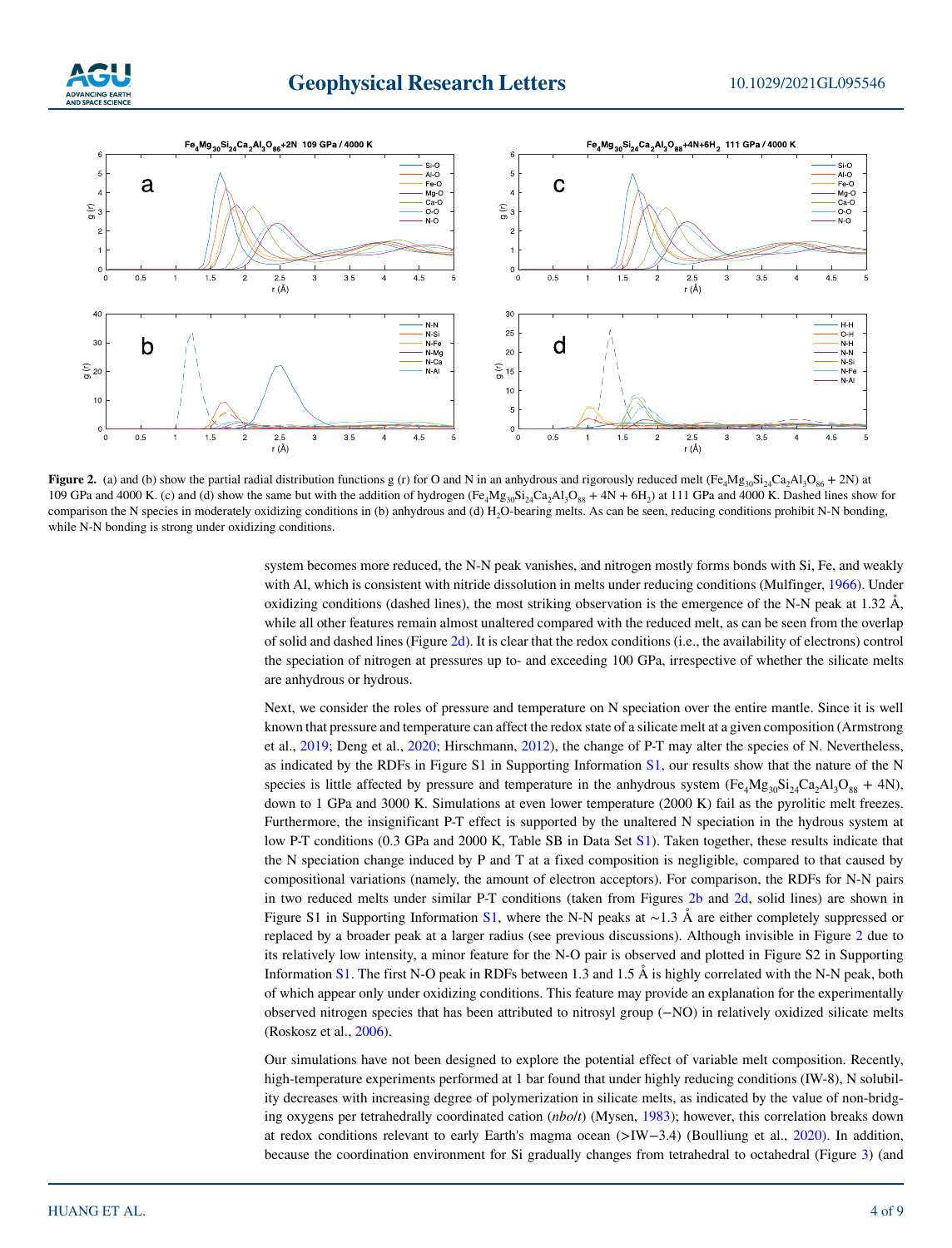



**Figure 2.** (a) and (b) show the partial radial distribution functions g (r) for O and N in an anhydrous and rigorously reduced melt (Fe<sub>4</sub>Mg<sub>30</sub>Si<sub>24</sub>Ca<sub>2</sub>Al<sub>3</sub>O<sub>86</sub> + 2N) at 109 GPa and 4000 K. (c) and (d) show the same but with the addition of hydrogen  $(Fe_4Mg_{30}Si_2Ca_2Al_3O_{88} + 4N + 6H_2)$  at 111 GPa and 4000 K. Dashed lines show for comparison the N species in moderately oxidizing conditions in (b) anhydrous and (d) H<sub>2</sub>O-bearing melts. As can be seen, reducing conditions prohibit N-N bonding, while N-N bonding is strong under oxidizing conditions.

system becomes more reduced, the N-N peak vanishes, and nitrogen mostly forms bonds with Si, Fe, and weakly with Al, which is consistent with nitride dissolution in melts under reducing conditions (Mulfinger, 1966). Under oxidizing conditions (dashed lines), the most striking observation is the emergence of the N-N peak at 1.32  $\AA$ , while all other features remain almost unaltered compared with the reduced melt, as can be seen from the overlap of solid and dashed lines (Figure 2d). It is clear that the redox conditions (i.e., the availability of electrons) control the speciation of nitrogen at pressures up to- and exceeding 100 GPa, irrespective of whether the silicate melts are anhydrous or hydrous.

Next, we consider the roles of pressure and temperature on N speciation over the entire mantle. Since it is well known that pressure and temperature can affect the redox state of a silicate melt at a given composition (Armstrong et al., 2019; Deng et al., 2020; Hirschmann, 2012), the change of P-T may alter the species of N. Nevertheless, as indicated by the RDFs in Figure S1 in Supporting Information S1, our results show that the nature of the N species is little affected by pressure and temperature in the anhydrous system  $(F_{\alpha}Mg_{30}Si_{20}Ca_{2}Al_{3}O_{88} + 4N)$ , down to 1 GPa and 3000 K. Simulations at even lower temperature (2000 K) fail as the pyrolitic melt freezes. Furthermore, the insignificant P-T effect is supported by the unaltered N speciation in the hydrous system at low P-T conditions (0.3 GPa and 2000 K, Table SB in Data Set S1). Taken together, these results indicate that the N speciation change induced by P and T at a fixed composition is negligible, compared to that caused by compositional variations (namely, the amount of electron acceptors). For comparison, the RDFs for N-N pairs in two reduced melts under similar P-T conditions (taken from Figures 2b and 2d, solid lines) are shown in Figure S1 in Supporting Information S1, where the N-N peaks at ∼1.3 Å are either completely suppressed or replaced by a broader peak at a larger radius (see previous discussions). Although invisible in Figure 2 due to its relatively low intensity, a minor feature for the N-O pair is observed and plotted in Figure S2 in Supporting Information S1. The first N-O peak in RDFs between 1.3 and 1.5 Å is highly correlated with the N-N peak, both of which appear only under oxidizing conditions. This feature may provide an explanation for the experimentally observed nitrogen species that has been attributed to nitrosyl group (−NO) in relatively oxidized silicate melts (Roskosz et al., 2006).

Our simulations have not been designed to explore the potential effect of variable melt composition. Recently, high-temperature experiments performed at 1 bar found that under highly reducing conditions (IW-8), N solubility decreases with increasing degree of polymerization in silicate melts, as indicated by the value of non-bridging oxygens per tetrahedrally coordinated cation (*nbo*/*t*) (Mysen, 1983); however, this correlation breaks down at redox conditions relevant to early Earth's magma ocean (>IW−3.4) (Boulliung et al., 2020). In addition, because the coordination environment for Si gradually changes from tetrahedral to octahedral (Figure 3) (and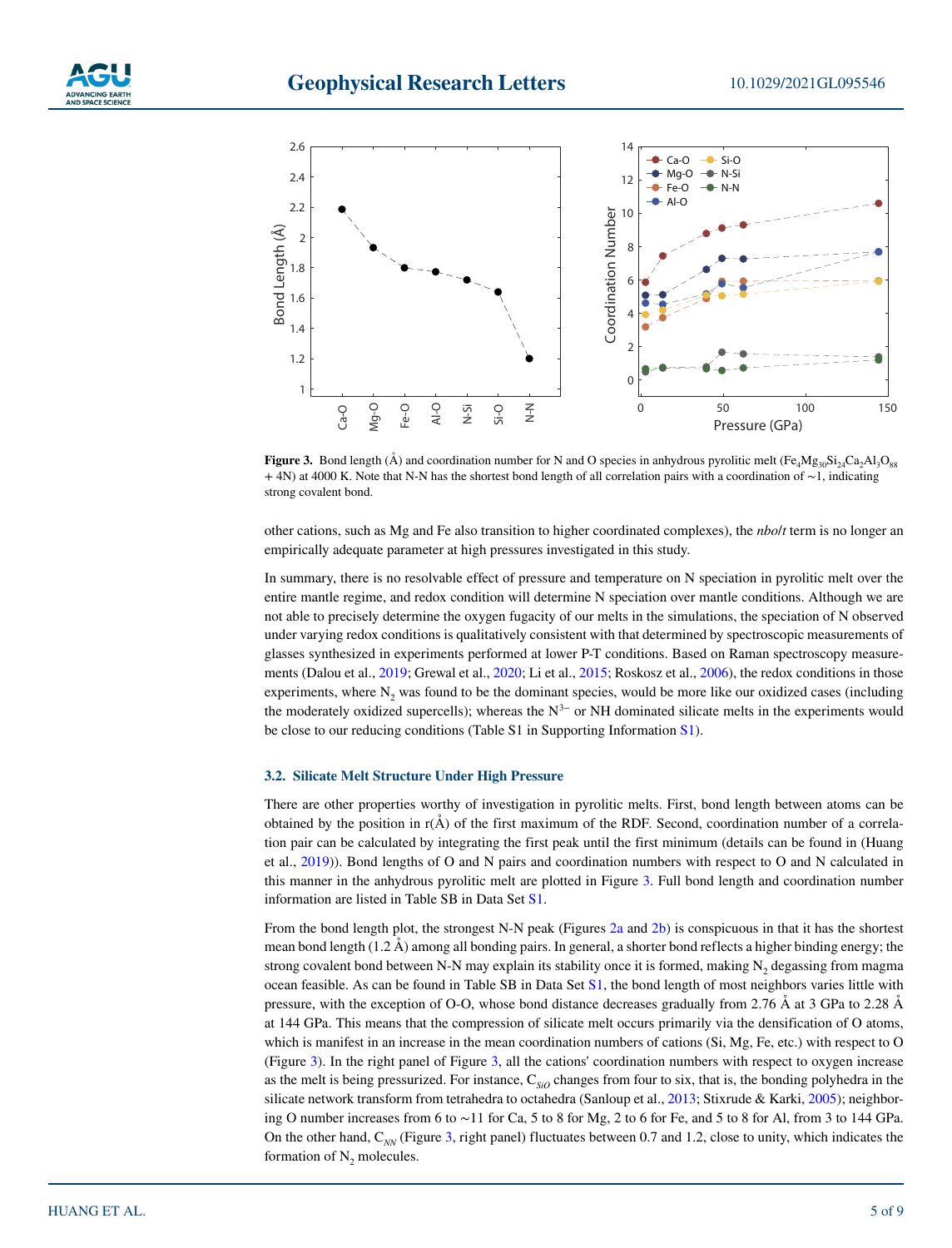





**Figure 3.** Bond length (A) and coordination number for N and O species in anhydrous pyrolitic melt  $(Fe<sub>4</sub>Mg<sub>30</sub>Si<sub>24</sub>Ca<sub>2</sub>Al<sub>3</sub>O<sub>88</sub>)$ + 4N) at 4000 K. Note that N-N has the shortest bond length of all correlation pairs with a coordination of ∼1, indicating strong covalent bond. Figure 3. Bond length<br>  $+$  4N) at 4000 K. Note<br>
strong covalent bond.

other cations, such as Mg and Fe also transition to higher coordinated complexes), the *nbo*/*t* term is no longer an empirically adequate parameter at high pressures investigated in this study.

In summary, there is no resolvable effect of pressure and temperature on N speciation in pyrolitic melt over the entire mantle regime, and redox condition will determine N speciation over mantle conditions. Although we are not able to precisely determine the oxygen fugacity of our melts in the simulations, the speciation of N observed under varying redox conditions is qualitatively consistent with that determined by spectroscopic measurements of glasses synthesized in experiments performed at lower P-T conditions. Based on Raman spectroscopy measurements (Dalou et al., 2019; Grewal et al., 2020; Li et al., 2015; Roskosz et al., 2006), the redox conditions in those experiments, where  $N<sub>2</sub>$  was found to be the dominant species, would be more like our oxidized cases (including the moderately oxidized supercells); whereas the  $N^{3-}$  or NH dominated silicate melts in the experiments would be close to our reducing conditions (Table S1 in Supporting Information S1).

#### **3.2. Silicate Melt Structure Under High Pressure**

There are other properties worthy of investigation in pyrolitic melts. First, bond length between atoms can be obtained by the position in  $r(A)$  of the first maximum of the RDF. Second, coordination number of a correlation pair can be calculated by integrating the first peak until the first minimum (details can be found in (Huang et al., 2019)). Bond lengths of O and N pairs and coordination numbers with respect to O and N calculated in this manner in the anhydrous pyrolitic melt are plotted in Figure 3. Full bond length and coordination number information are listed in Table SB in Data Set S1.

From the bond length plot, the strongest N-N peak (Figures 2a and 2b) is conspicuous in that it has the shortest mean bond length (1.2 Å) among all bonding pairs. In general, a shorter bond reflects a higher binding energy; the strong covalent bond between N-N may explain its stability once it is formed, making  $N_2$  degassing from magma ocean feasible. As can be found in Table SB in Data Set S1, the bond length of most neighbors varies little with pressure, with the exception of O-O, whose bond distance decreases gradually from 2.76 Å at 3 GPa to 2.28 Å at 144 GPa. This means that the compression of silicate melt occurs primarily via the densification of O atoms, which is manifest in an increase in the mean coordination numbers of cations (Si, Mg, Fe, etc.) with respect to O (Figure 3). In the right panel of Figure 3, all the cations' coordination numbers with respect to oxygen increase as the melt is being pressurized. For instance, C<sub>SiO</sub> changes from four to six, that is, the bonding polyhedra in the silicate network transform from tetrahedra to octahedra (Sanloup et al., 2013; Stixrude & Karki, 2005); neighboring O number increases from 6 to ∼11 for Ca, 5 to 8 for Mg, 2 to 6 for Fe, and 5 to 8 for Al, from 3 to 144 GPa. On the other hand, C<sub>NN</sub> (Figure 3, right panel) fluctuates between 0.7 and 1.2, close to unity, which indicates the formation of  $N_2$  molecules.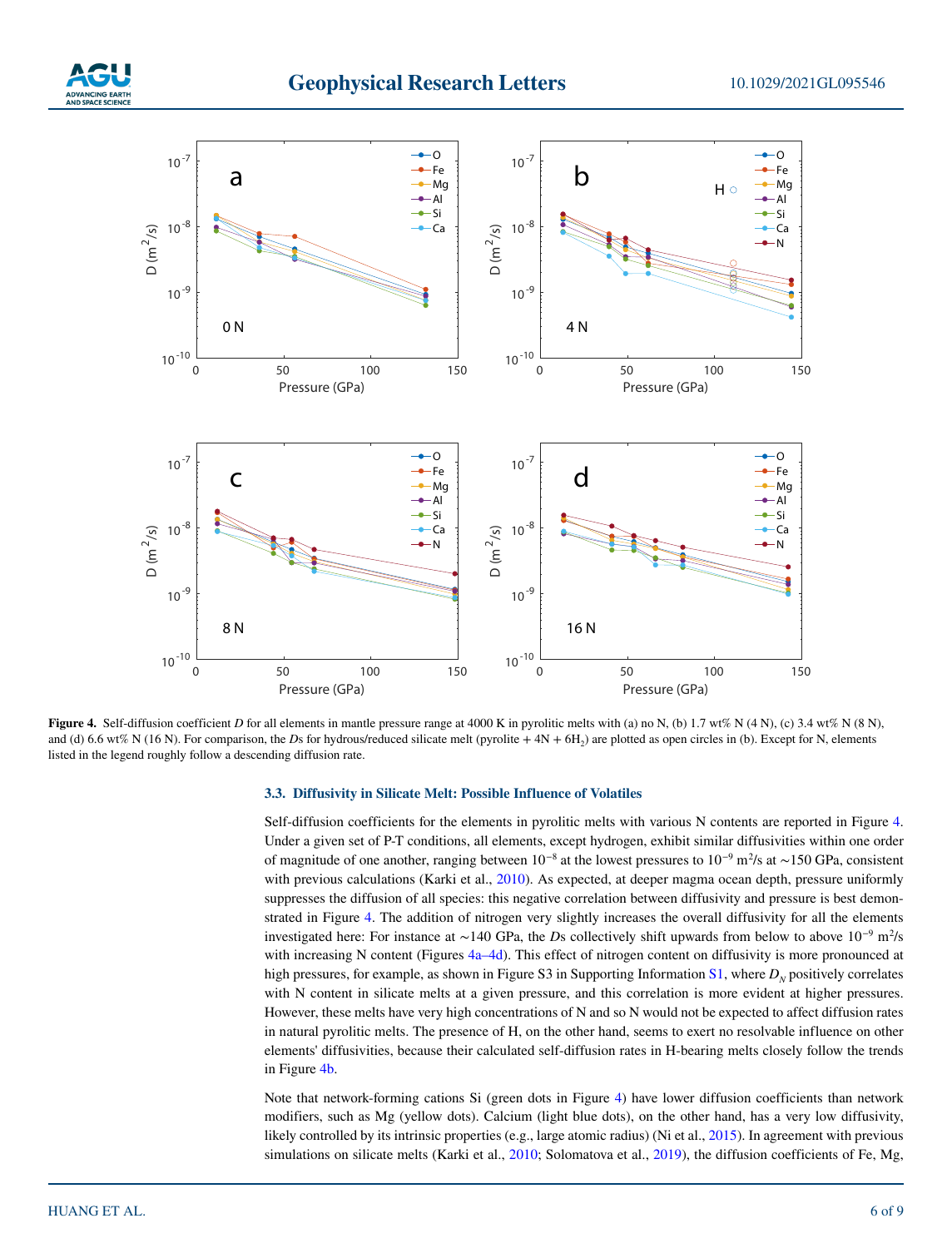



**Figure 4.** Self-diffusion coefficient *D* for all elements in mantle pressure range at 4000 K in pyrolitic melts with (a) no N, (b) 1.7 wt% N (4 N), (c) 3.4 wt% N (8 N), and (d) 6.6 wt% N (16 N). For comparison, the *Ds* for hydrous/reduced silicate melt (pyrolite + 4N + 6H<sub>2</sub>) are plotted as open circles in (b). Except for N, elements listed in the legend roughly follow a descending diffusion rate.

#### **3.3. Diffusivity in Silicate Melt: Possible Influence of Volatiles**

Self-diffusion coefficients for the elements in pyrolitic melts with various N contents are reported in Figure 4. Under a given set of P-T conditions, all elements, except hydrogen, exhibit similar diffusivities within one order of magnitude of one another, ranging between  $10^{-8}$  at the lowest pressures to  $10^{-9}$  m<sup>2</sup>/s at ~150 GPa, consistent with previous calculations (Karki et al., 2010). As expected, at deeper magma ocean depth, pressure uniformly suppresses the diffusion of all species: this negative correlation between diffusivity and pressure is best demonstrated in Figure 4. The addition of nitrogen very slightly increases the overall diffusivity for all the elements investigated here: For instance at ∼140 GPa, the *D*s collectively shift upwards from below to above 10−9 m2 /s with increasing N content (Figures 4a–4d). This effect of nitrogen content on diffusivity is more pronounced at high pressures, for example, as shown in Figure S3 in Supporting Information  $S1$ , where  $D<sub>N</sub>$  positively correlates with N content in silicate melts at a given pressure, and this correlation is more evident at higher pressures. However, these melts have very high concentrations of N and so N would not be expected to affect diffusion rates in natural pyrolitic melts. The presence of H, on the other hand, seems to exert no resolvable influence on other elements' diffusivities, because their calculated self-diffusion rates in H-bearing melts closely follow the trends in Figure 4b.

Note that network-forming cations Si (green dots in Figure 4) have lower diffusion coefficients than network modifiers, such as Mg (yellow dots). Calcium (light blue dots), on the other hand, has a very low diffusivity, likely controlled by its intrinsic properties (e.g., large atomic radius) (Ni et al., 2015). In agreement with previous simulations on silicate melts (Karki et al., 2010; Solomatova et al., 2019), the diffusion coefficients of Fe, Mg,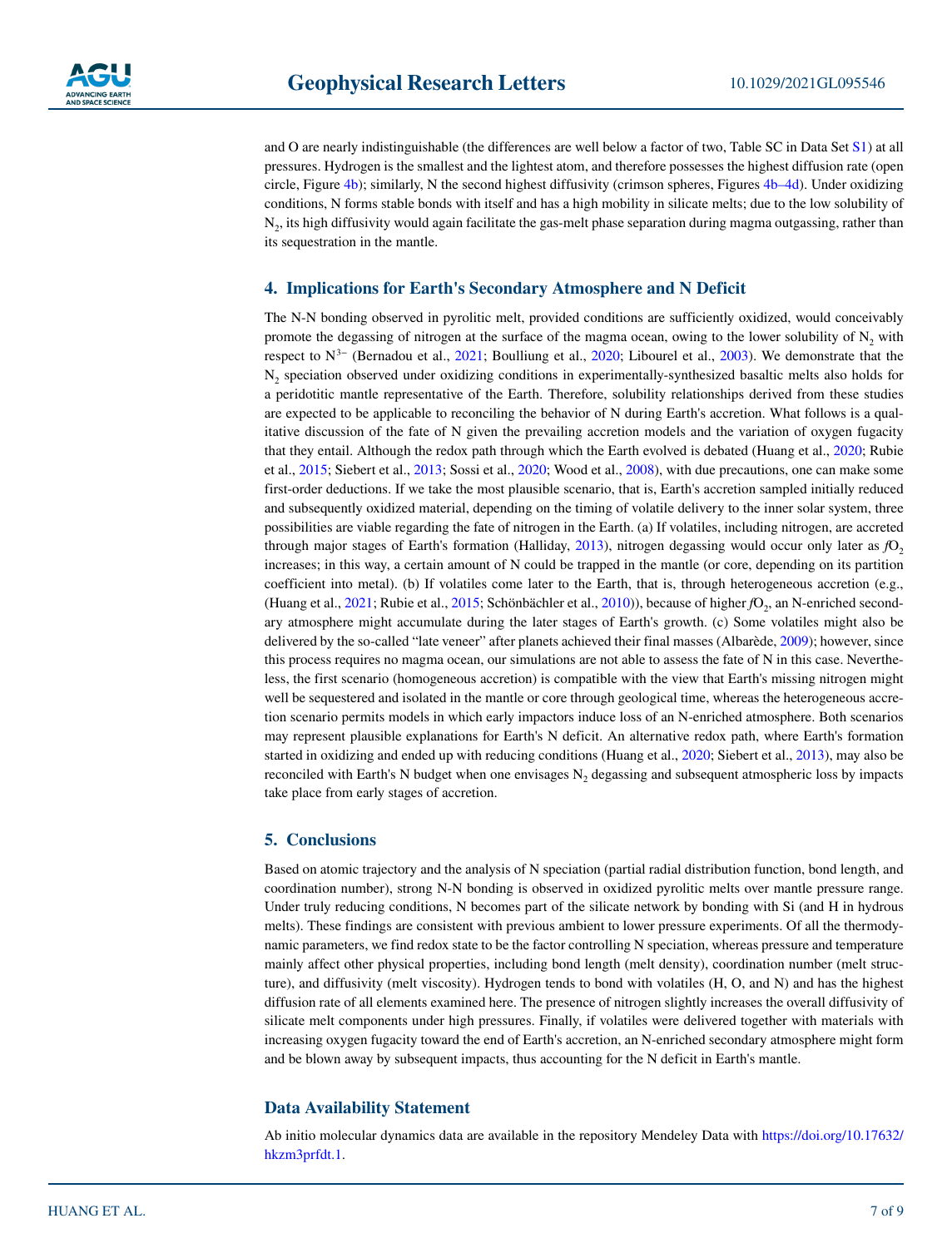and O are nearly indistinguishable (the differences are well below a factor of two, Table SC in Data Set S1) at all pressures. Hydrogen is the smallest and the lightest atom, and therefore possesses the highest diffusion rate (open circle, Figure 4b); similarly, N the second highest diffusivity (crimson spheres, Figures 4b–4d). Under oxidizing conditions, N forms stable bonds with itself and has a high mobility in silicate melts; due to the low solubility of N<sub>2</sub>, its high diffusivity would again facilitate the gas-melt phase separation during magma outgassing, rather than its sequestration in the mantle.

#### **4. Implications for Earth's Secondary Atmosphere and N Deficit**

The N-N bonding observed in pyrolitic melt, provided conditions are sufficiently oxidized, would conceivably promote the degassing of nitrogen at the surface of the magma ocean, owing to the lower solubility of  $N<sub>2</sub>$  with respect to N3− (Bernadou et al., 2021; Boulliung et al., 2020; Libourel et al., 2003). We demonstrate that the N<sub>2</sub> speciation observed under oxidizing conditions in experimentally-synthesized basaltic melts also holds for a peridotitic mantle representative of the Earth. Therefore, solubility relationships derived from these studies are expected to be applicable to reconciling the behavior of N during Earth's accretion. What follows is a qualitative discussion of the fate of N given the prevailing accretion models and the variation of oxygen fugacity that they entail. Although the redox path through which the Earth evolved is debated (Huang et al., 2020; Rubie et al., 2015; Siebert et al., 2013; Sossi et al., 2020; Wood et al., 2008), with due precautions, one can make some first-order deductions. If we take the most plausible scenario, that is, Earth's accretion sampled initially reduced and subsequently oxidized material, depending on the timing of volatile delivery to the inner solar system, three possibilities are viable regarding the fate of nitrogen in the Earth. (a) If volatiles, including nitrogen, are accreted through major stages of Earth's formation (Halliday, 2013), nitrogen degassing would occur only later as  $fQ$ , increases; in this way, a certain amount of N could be trapped in the mantle (or core, depending on its partition coefficient into metal). (b) If volatiles come later to the Earth, that is, through heterogeneous accretion (e.g., (Huang et al., 2021; Rubie et al., 2015; Schönbächler et al., 2010)), because of higher *f*O<sub>2</sub>, an N-enriched secondary atmosphere might accumulate during the later stages of Earth's growth. (c) Some volatiles might also be delivered by the so-called "late veneer" after planets achieved their final masses (Albarède, 2009); however, since this process requires no magma ocean, our simulations are not able to assess the fate of N in this case. Nevertheless, the first scenario (homogeneous accretion) is compatible with the view that Earth's missing nitrogen might well be sequestered and isolated in the mantle or core through geological time, whereas the heterogeneous accretion scenario permits models in which early impactors induce loss of an N-enriched atmosphere. Both scenarios may represent plausible explanations for Earth's N deficit. An alternative redox path, where Earth's formation started in oxidizing and ended up with reducing conditions (Huang et al., 2020; Siebert et al., 2013), may also be reconciled with Earth's N budget when one envisages  $N<sub>2</sub>$  degassing and subsequent atmospheric loss by impacts take place from early stages of accretion.

#### **5. Conclusions**

Based on atomic trajectory and the analysis of N speciation (partial radial distribution function, bond length, and coordination number), strong N-N bonding is observed in oxidized pyrolitic melts over mantle pressure range. Under truly reducing conditions, N becomes part of the silicate network by bonding with Si (and H in hydrous melts). These findings are consistent with previous ambient to lower pressure experiments. Of all the thermodynamic parameters, we find redox state to be the factor controlling N speciation, whereas pressure and temperature mainly affect other physical properties, including bond length (melt density), coordination number (melt structure), and diffusivity (melt viscosity). Hydrogen tends to bond with volatiles (H, O, and N) and has the highest diffusion rate of all elements examined here. The presence of nitrogen slightly increases the overall diffusivity of silicate melt components under high pressures. Finally, if volatiles were delivered together with materials with increasing oxygen fugacity toward the end of Earth's accretion, an N-enriched secondary atmosphere might form and be blown away by subsequent impacts, thus accounting for the N deficit in Earth's mantle.

#### **Data Availability Statement**

Ab initio molecular dynamics data are available in the repository Mendeley Data with [https://doi.org/10.17632/](https://doi.org/10.17632/hkzm3prfdt.1) [hkzm3prfdt.1.](https://doi.org/10.17632/hkzm3prfdt.1)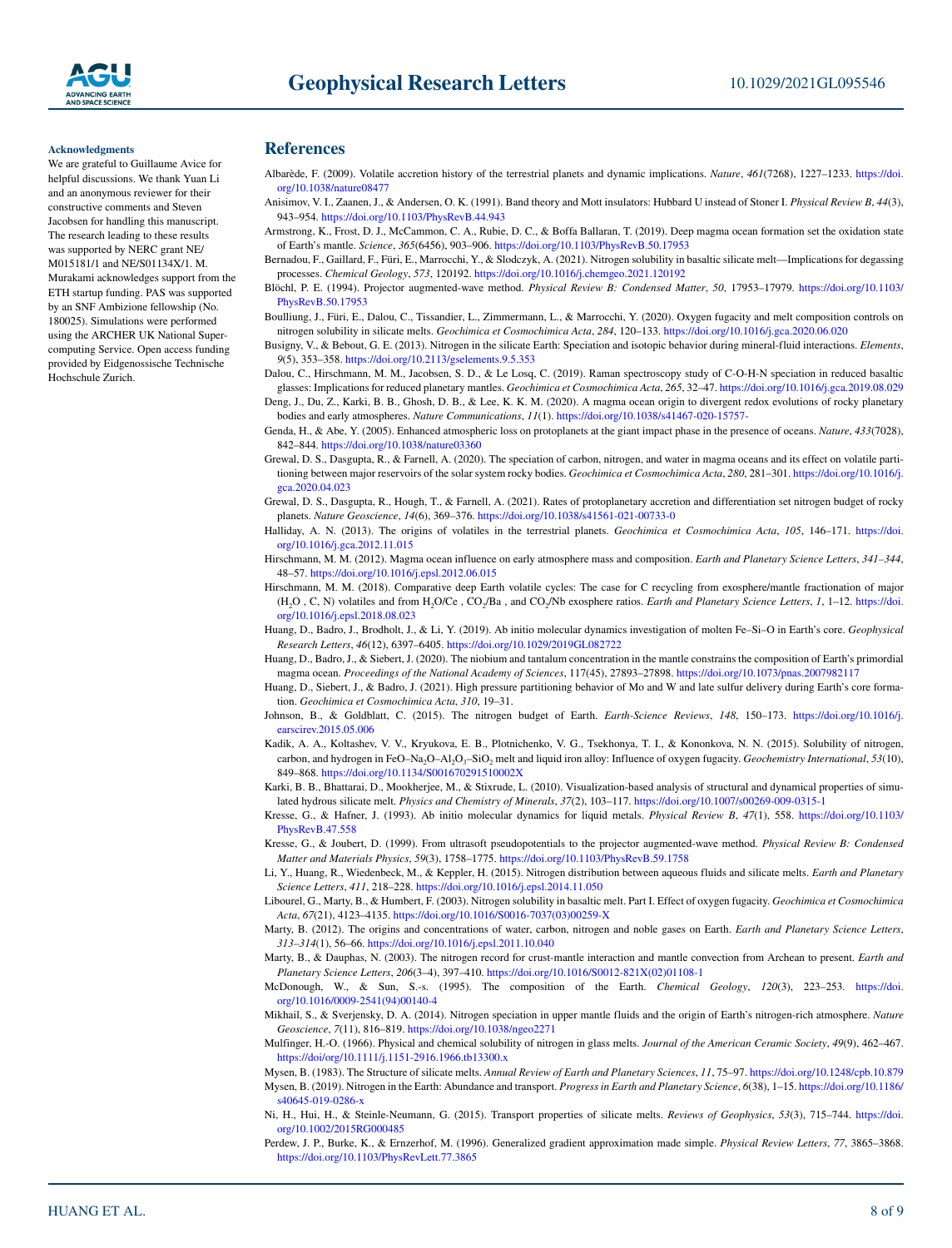#### **Acknowledgments**

We are grateful to Guillaume Avice for helpful discussions. We thank Yuan Li and an anonymous reviewer for their constructive comments and Steven Jacobsen for handling this manuscript. The research leading to these results was supported by NERC grant NE/ M015181/1 and NE/S01134X/1. M. Murakami acknowledges support from the ETH startup funding. PAS was supported by an SNF Ambizione fellowship (No. 180025). Simulations were performed using the ARCHER UK National Supercomputing Service. Open access funding provided by Eidgenossische Technische Hochschule Zurich.

#### **References**

- Albarède, F. (2009). Volatile accretion history of the terrestrial planets and dynamic implications. *Nature*, *461*(7268), 1227–1233. [https://doi.](https://doi.org/10.1038/nature08477) [org/10.1038/nature08477](https://doi.org/10.1038/nature08477)
- Anisimov, V. I., Zaanen, J., & Andersen, O. K. (1991). Band theory and Mott insulators: Hubbard U instead of Stoner I. *Physical Review B*, *44*(3), 943–954. <https://doi.org/10.1103/PhysRevB.44.943>
- Armstrong, K., Frost, D. J., McCammon, C. A., Rubie, D. C., & Boffa Ballaran, T. (2019). Deep magma ocean formation set the oxidation state of Earth's mantle. *Science*, *365*(6456), 903–906.<https://doi.org/10.1103/PhysRevB.50.17953>
- Bernadou, F., Gaillard, F., Füri, E., Marrocchi, Y., & Slodczyk, A. (2021). Nitrogen solubility in basaltic silicate melt—Implications for degassing processes. *Chemical Geology*, *573*, 120192. <https://doi.org/10.1016/j.chemgeo.2021.120192>
- Blöchl, P. E. (1994). Projector augmented-wave method. *Physical Review B: Condensed Matter*, *50*, 17953–17979. [https://doi.org/10.1103/](https://doi.org/10.1103/PhysRevB.50.17953) [PhysRevB.50.17953](https://doi.org/10.1103/PhysRevB.50.17953)
- Boulliung, J., Füri, E., Dalou, C., Tissandier, L., Zimmermann, L., & Marrocchi, Y. (2020). Oxygen fugacity and melt composition controls on nitrogen solubility in silicate melts. *Geochimica et Cosmochimica Acta*, *284*, 120–133.<https://doi.org/10.1016/j.gca.2020.06.020>

Busigny, V., & Bebout, G. E. (2013). Nitrogen in the silicate Earth: Speciation and isotopic behavior during mineral-fluid interactions. *Elements*, *9*(5), 353–358.<https://doi.org/10.2113/gselements.9.5.353>

- Dalou, C., Hirschmann, M. M., Jacobsen, S. D., & Le Losq, C. (2019). Raman spectroscopy study of C-O-H-N speciation in reduced basaltic glasses: Implications for reduced planetary mantles. *Geochimica et Cosmochimica Acta*, *265*, 32–47. [https://doi.org/10.1016/j.gca.2019.08.029](https://doi.org/10.1016/j.gca.2019.08.02910.1016/j.gca.2019.08.029)
- Deng, J., Du, Z., Karki, B. B., Ghosh, D. B., & Lee, K. K. M. (2020). A magma ocean origin to divergent redox evolutions of rocky planetary bodies and early atmospheres. *Nature Communications*, *11*(1).<https://doi.org/10.1038/s41467-020-15757->
- Genda, H., & Abe, Y. (2005). Enhanced atmospheric loss on protoplanets at the giant impact phase in the presence of oceans. *Nature*, *433*(7028), 842–844. <https://doi.org/10.1038/nature03360>
- Grewal, D. S., Dasgupta, R., & Farnell, A. (2020). The speciation of carbon, nitrogen, and water in magma oceans and its effect on volatile partitioning between major reservoirs of the solar system rocky bodies. *Geochimica et Cosmochimica Acta*, *280*, 281–301. [https://doi.org/10.1016/j.](https://doi.org/10.1016/j.gca.2020.04.023) [gca.2020.04.023](https://doi.org/10.1016/j.gca.2020.04.023)
- Grewal, D. S., Dasgupta, R., Hough, T., & Farnell, A. (2021). Rates of protoplanetary accretion and differentiation set nitrogen budget of rocky planets. *Nature Geoscience*, *14*(6), 369–376. <https://doi.org/10.1038/s41561-021-00733-0>
- Halliday, A. N. (2013). The origins of volatiles in the terrestrial planets. *Geochimica et Cosmochimica Acta*, *105*, 146–171. [https://doi.](https://doi.org/10.1016/j.gca.2012.11.015) [org/10.1016/j.gca.2012.11.015](https://doi.org/10.1016/j.gca.2012.11.015)
- Hirschmann, M. M. (2012). Magma ocean influence on early atmosphere mass and composition. *Earth and Planetary Science Letters*, *341–344*, 48–57. <https://doi.org/10.1016/j.epsl.2012.06.015>
- Hirschmann, M. M. (2018). Comparative deep Earth volatile cycles: The case for C recycling from exosphere/mantle fractionation of major (H2O , C, N) volatiles and from H2O/Ce , CO2/Ba , and CO2/Nb exosphere ratios. *Earth and Planetary Science Letters*, *1*, 1–12. [https://doi.](https://doi.org/10.1016/j.epsl.2018.08.023) [org/10.1016/j.epsl.2018.08.023](https://doi.org/10.1016/j.epsl.2018.08.023)
- Huang, D., Badro, J., Brodholt, J., & Li, Y. (2019). Ab initio molecular dynamics investigation of molten Fe–Si–O in Earth's core. *Geophysical Research Letters*, *46*(12), 6397–6405. [https://doi.org/10.1029/2019GL082722](https://doi.org/10.1029/2019GL08272210.1029/2019GL082722)
- Huang, D., Badro, J., & Siebert, J. (2020). The niobium and tantalum concentration in the mantle constrains the composition of Earth's primordial magma ocean. *Proceedings of the National Academy of Sciences*, 117(45), 27893–27898. [https://doi.org/10.1073/pnas.2007982117](http://doi.org/10.1073/pnas.2007982117)
- Huang, D., Siebert, J., & Badro, J. (2021). High pressure partitioning behavior of Mo and W and late sulfur delivery during Earth's core formation. *Geochimica et Cosmochimica Acta*, *310*, 19–31.
- Johnson, B., & Goldblatt, C. (2015). The nitrogen budget of Earth. *Earth-Science Reviews*, *148*, 150–173. [https://doi.org/10.1016/j.](https://doi.org/10.1016/j.earscirev.2015.05.006) [earscirev.2015.05.006](https://doi.org/10.1016/j.earscirev.2015.05.006)
- Kadik, A. A., Koltashev, V. V., Kryukova, E. B., Plotnichenko, V. G., Tsekhonya, T. I., & Kononkova, N. N. (2015). Solubility of nitrogen, carbon, and hydrogen in FeO-Na<sub>2</sub>O-Al<sub>2</sub>O<sub>3</sub>-SiO<sub>2</sub> melt and liquid iron alloy: Influence of oxygen fugacity. *Geochemistry International*, 53(10), 849–868. <https://doi.org/10.1134/S001670291510002X>
- Karki, B. B., Bhattarai, D., Mookherjee, M., & Stixrude, L. (2010). Visualization-based analysis of structural and dynamical properties of simulated hydrous silicate melt. *Physics and Chemistry of Minerals*, *37*(2), 103–117.<https://doi.org/10.1007/s00269-009-0315-1>
- Kresse, G., & Hafner, J. (1993). Ab initio molecular dynamics for liquid metals. *Physical Review B*, *47*(1), 558. [https://doi.org/10.1103/](https://doi.org/10.1103/PhysRevB.47.558) [PhysRevB.47.558](https://doi.org/10.1103/PhysRevB.47.558)
- Kresse, G., & Joubert, D. (1999). From ultrasoft pseudopotentials to the projector augmented-wave method. *Physical Review B: Condensed Matter and Materials Physics*, *59*(3), 1758–1775.<https://doi.org/10.1103/PhysRevB.59.1758>
- Li, Y., Huang, R., Wiedenbeck, M., & Keppler, H. (2015). Nitrogen distribution between aqueous fluids and silicate melts. *Earth and Planetary Science Letters*, *411*, 218–228. [https://doi.org/10.1016/j.epsl.2014.11.050](https://doi.org/10.1016/j.epsl.2014.11.05010.1016/j.epsl.2014.11.050)
- Libourel, G., Marty, B., & Humbert, F. (2003). Nitrogen solubility in basaltic melt. Part I. Effect of oxygen fugacity. *Geochimica et Cosmochimica Acta*, *67*(21), 4123–4135. [https://doi.org/10.1016/S0016-7037\(03\)00259-X](https://doi.org/10.1016/S0016-7037(03)00259-X)
- Marty, B. (2012). The origins and concentrations of water, carbon, nitrogen and noble gases on Earth. *Earth and Planetary Science Letters*, *313–314*(1), 56–66.<https://doi.org/10.1016/j.epsl.2011.10.040>
- Marty, B., & Dauphas, N. (2003). The nitrogen record for crust-mantle interaction and mantle convection from Archean to present. *Earth and Planetary Science Letters*, *206*(3–4), 397–410. [https://doi.org/10.1016/S0012-821X\(02\)01108-1](https://doi.org/10.1016/S0012-821X(02)01108-1)
- McDonough, W., & Sun, S.-s. (1995). The composition of the Earth. *Chemical Geology*, *120*(3), 223–253. [https://doi.](https://doi.org/10.1016/0009-2541(94)00140-4) [org/10.1016/0009-2541\(94\)00140-4](https://doi.org/10.1016/0009-2541(94)00140-4)
- Mikhail, S., & Sverjensky, D. A. (2014). Nitrogen speciation in upper mantle fluids and the origin of Earth's nitrogen-rich atmosphere. *Nature Geoscience*, *7*(11), 816–819.<https://doi.org/10.1038/ngeo2271>
- Mulfinger, H.-O. (1966). Physical and chemical solubility of nitrogen in glass melts. *Journal of the American Ceramic Society*, *49*(9), 462–467. [https://doi/org/10.1111/j.1151-2916.1966.tb13300.x](https://doi.org/10.1111/j.1151-2916.1966.tb13300.x)
- Mysen, B. (1983). The Structure of silicate melts. *Annual Review of Earth and Planetary Sciences*, *11*, 75–97.<https://doi.org/10.1248/cpb.10.879> Mysen, B. (2019). Nitrogen in the Earth: Abundance and transport. *Progress in Earth and Planetary Science*, *6*(38), 1–15. [https://doi.org/10.1186/](https://doi.org/10.1186/s40645-019-0286-x) [s40645-019-0286-x](https://doi.org/10.1186/s40645-019-0286-x)
- Ni, H., Hui, H., & Steinle-Neumann, G. (2015). Transport properties of silicate melts. *Reviews of Geophysics*, *53*(3), 715–744. [https://doi.](https://doi/org/10.1002/2015RG000485) [org/10.1002/2015RG000485](https://doi/org/10.1002/2015RG000485)
- Perdew, J. P., Burke, K., & Ernzerhof, M. (1996). Generalized gradient approximation made simple. *Physical Review Letters*, *77*, 3865–3868. <https://doi.org/10.1103/PhysRevLett.77.3865>